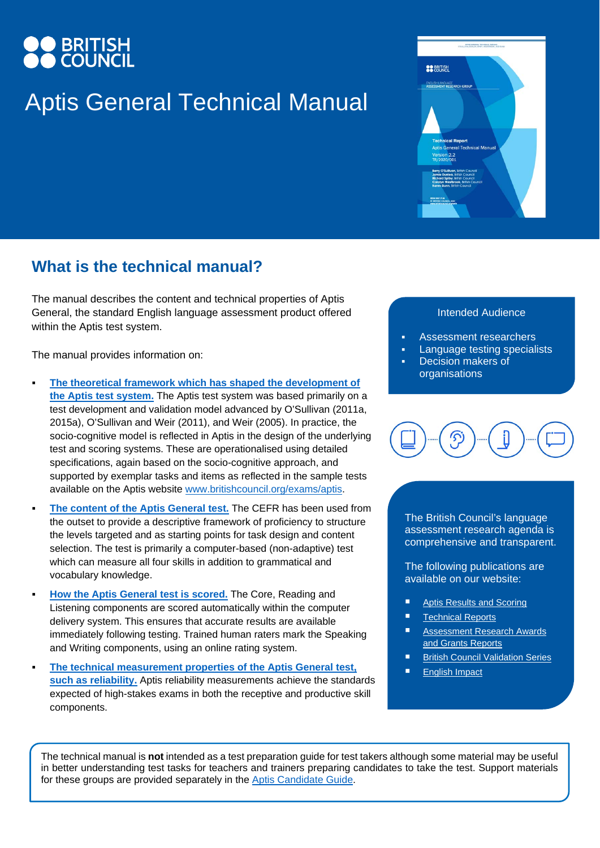# **BRITISH**<br>COUNCIL

## Aptis General Technical Manual

# **BRITISH**

### **What is the technical manual?**

The manual describes the content and technical properties of Aptis General, the standard English language assessment product offered within the Aptis test system.

The manual provides information on:

- **[The theoretical framework which has shaped the development of](https://www.britishcouncil.org/sites/default/files/aptis_technical_manual_v_2.2_final.pdf#page=7)  [the Aptis test system.](https://www.britishcouncil.org/sites/default/files/aptis_technical_manual_v_2.2_final.pdf#page=7)** The Aptis test system was based primarily on a test development and validation model advanced by O'Sullivan (2011a, 2015a), O'Sullivan and Weir (2011), and Weir (2005). In practice, the socio-cognitive model is reflected in Aptis in the design of the underlying test and scoring systems. These are operationalised using detailed specifications, again based on the socio-cognitive approach, and supported by exemplar tasks and items as reflected in the sample tests available on the Aptis website [www.britishcouncil.org/exams/aptis.](http://www.britishcouncil.org/exams/aptis)
- **[The content of the Aptis General test.](https://www.britishcouncil.org/sites/default/files/aptis_technical_manual_v_2.2_final.pdf#page=18)** The CEFR has been used from the outset to provide a descriptive framework of proficiency to structure the levels targeted and as starting points for task design and content selection. The test is primarily a computer-based (non-adaptive) test which can measure all four skills in addition to grammatical and vocabulary knowledge.
- **[How the Aptis General test is scored.](https://www.britishcouncil.org/sites/default/files/aptis_technical_manual_v_2.2_final.pdf#page=24)** The Core, Reading and Listening components are scored automatically within the computer delivery system. This ensures that accurate results are available immediately following testing. Trained human raters mark the Speaking and Writing components, using an online rating system.
- **[The technical measurement properties of the Aptis General test,](https://www.britishcouncil.org/sites/default/files/aptis_technical_manual_v_2.2_final.pdf#page=26)  [such as reliability.](https://www.britishcouncil.org/sites/default/files/aptis_technical_manual_v_2.2_final.pdf#page=26)** Aptis reliability measurements achieve the standards expected of high-stakes exams in both the receptive and productive skill components.

### Intended Audience

- Assessment researchers
- Language testing specialists
- Decision makers of **organisations**



The British Council's language assessment research agenda is comprehensive and transparent.

The following publications are available on our website:

- [Aptis Results and Scoring](https://www.britishcouncil.org/exam/aptis/why-choose-aptis/results-scoring)
- [Technical Reports](https://www.britishcouncil.org/exam/aptis/research/publications/technical)
- [Assessment Research Awards](https://www.britishcouncil.org/exam/aptis/research/publications/arags)  [and Grants Reports](https://www.britishcouncil.org/exam/aptis/research/publications/arags)
- **[British Council Validation Series](https://www.britishcouncil.org/exam/aptis/research/publications/validation)**
- **[English Impact](https://www.britishcouncil.org/exam/aptis/research/english-impact/madrid)**

The technical manual is **not** intended as a test preparation guide for test takers although some material may be useful in better understanding test tasks for teachers and trainers preparing candidates to take the test. Support materials for these groups are provided separately in the [Aptis Candidate Guide.](https://www.britishcouncil.org/sites/default/files/aptis_candidate_guide_2020_0.pdf)